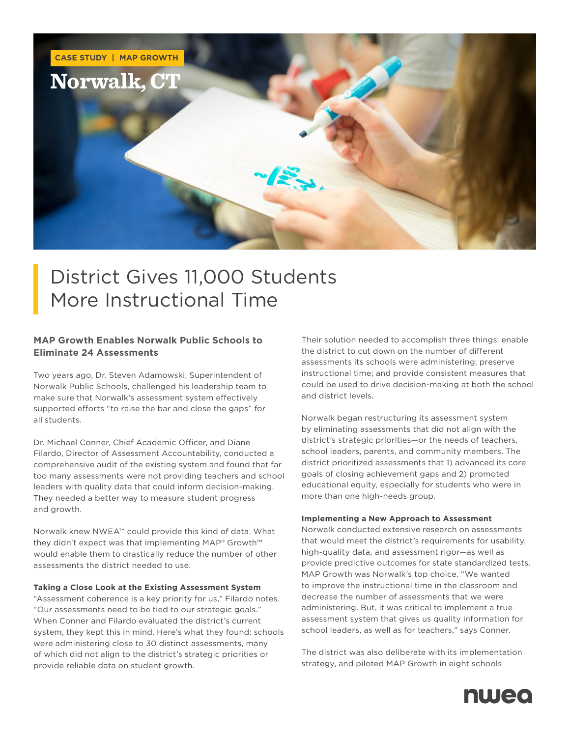

# District Gives 11,000 Students More Instructional Time

## **MAP Growth Enables Norwalk Public Schools to Eliminate 24 Assessments**

Two years ago, Dr. Steven Adamowski, Superintendent of Norwalk Public Schools, challenged his leadership team to make sure that Norwalk's assessment system effectively supported efforts "to raise the bar and close the gaps" for all students.

Dr. Michael Conner, Chief Academic Officer, and Diane Filardo, Director of Assessment Accountability, conducted a comprehensive audit of the existing system and found that far too many assessments were not providing teachers and school leaders with quality data that could inform decision-making. They needed a better way to measure student progress and growth.

Norwalk knew NWEA™ could provide this kind of data. What they didn't expect was that implementing MAP® Growth™ would enable them to drastically reduce the number of other assessments the district needed to use.

#### **Taking a Close Look at the Existing Assessment System**

"Assessment coherence is a key priority for us," Filardo notes. "Our assessments need to be tied to our strategic goals." When Conner and Filardo evaluated the district's current system, they kept this in mind. Here's what they found: schools were administering close to 30 distinct assessments, many of which did not align to the district's strategic priorities or provide reliable data on student growth.

Their solution needed to accomplish three things: enable the district to cut down on the number of different assessments its schools were administering; preserve instructional time; and provide consistent measures that could be used to drive decision-making at both the school and district levels.

Norwalk began restructuring its assessment system by eliminating assessments that did not align with the district's strategic priorities—or the needs of teachers, school leaders, parents, and community members. The district prioritized assessments that 1) advanced its core goals of closing achievement gaps and 2) promoted educational equity, especially for students who were in more than one high-needs group.

#### **Implementing a New Approach to Assessment**

Norwalk conducted extensive research on assessments that would meet the district's requirements for usability, high-quality data, and assessment rigor—as well as provide predictive outcomes for state standardized tests. MAP Growth was Norwalk's top choice. "We wanted to improve the instructional time in the classroom and decrease the number of assessments that we were administering. But, it was critical to implement a true assessment system that gives us quality information for school leaders, as well as for teachers," says Conner.

The district was also deliberate with its implementation strategy, and piloted MAP Growth in eight schools